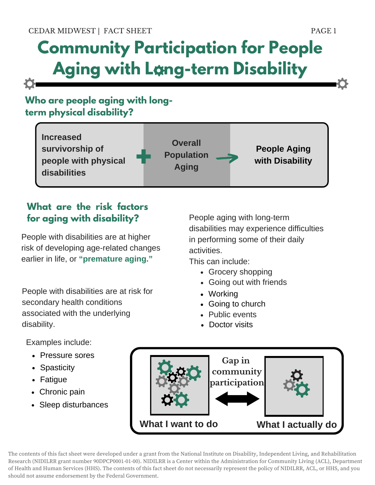# **Community Participation for People Aging with Long-term Disability**

## **Who are people aging with longterm physical disability?**



## **What are the risk factors for aging with disability?**

People with disabilities are at higher risk of developing age-related changes earlier in life, or **"premature aging."**

People with disabilities are at risk for secondary health conditions associated with the underlying disability.

People aging with long-term disabilities may experience difficulties in performing some of their daily activities.

This can include:

- Grocery shopping
- Going out with friends
- Working
- Going to church
- Public events
- Doctor visits

Examples include:

- Pressure sores
- Spasticity
- Fatigue
- Chronic pain
- Sleep disturbances



The contents of this fact sheet were developed under a grant from the National Institute on Disability, Independent Living, and Rehabilitation Research (NIDILRR grant number 90DPCP0001-01-00). NIDILRR is a Center within the Administration for Community Living (ACL), Department of Health and Human Services (HHS). The contents of this fact sheet do not necessarily represent the policy of NIDILRR, ACL, or HHS, and you should not assume endorsement by the Federal Government.